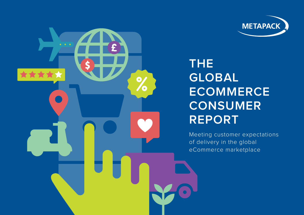



## **THE GLOBAL ECOMMERCE CONSUMER REPORT**

Meeting customer expectations of delivery in the global eCommerce marketplace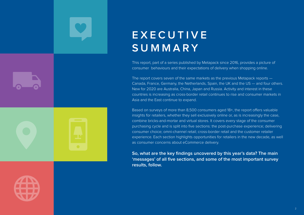### **E X E C U T I V E SUMMARY**

This report, part of a series published by Metapack since 2016, provides a picture of consumer behaviours and their expectations of delivery when shopping online.

The report covers seven of the same markets as the previous Metapack reports — Canada, France, Germany, the Netherlands, Spain, the UK and the US — and four others. New for 2020 are Australia, China, Japan and Russia. Activity and interest in these countries is increasing as cross-border retail continues to rise and consumer markets in Asia and the East continue to expand.

Based on surveys of more than 8,500 consumers aged 18+, the report offers valuable insights for retailers, whether they sell exclusively online or, as is increasingly the case, combine bricks-and-mortar and virtual stores. It covers every stage of the consumer purchasing cycle and is split into five sections: the post-purchase experience; delivering consumer choice; omni-channel retail; cross-border retail and the customer retailer experience. Each section highlights opportunities for retailers in the new decade, as well as consumer concerns about eCommerce delivery.

**So, what are the key findings uncovered by this year's data? The main 'messages' of all five sections, and some of the most important survey results, follow.**

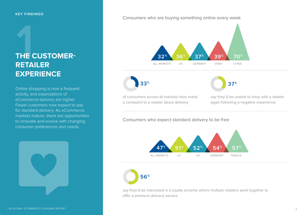### **THE CUSTOMER- 1 RETAILER EXPERIENCE**

Online shopping is now a frequent activity, and expectations of eCommerce delivery are higher. Fewer customers now expect to pay for standard delivery. As eCommerce markets mature, there are opportunities to innovate and evolve with changing consumer preferences and needs.



### Consumers who are buying something online every week





**33% 37%**

of consumers across all markets have made a complaint to a retailer about delivery

say they'd be unable to shop with a retailer again following a negative experience

Consumers who expect standard delivery to be free





say they'd be interested in a loyalty scheme where multiple retailers work together to offer a premium delivery service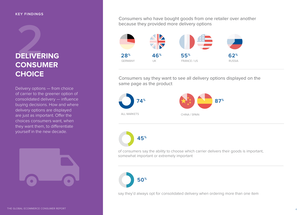#### **KEY FINDINGS**

# **2 DELIVERING CONSUMER CHOICE**

Delivery options — from choice of carrier to the greener option of consolidated delivery — influence buying decisions. How and where delivery options are displayed are just as important. Offer the choices consumers want, when they want them, to differentiate yourself in the new decade.



Consumers who have bought goods from one retailer over another because they provided more delivery options



Consumers say they want to see all delivery options displayed on the same page as the product



of consumers say the ability to choose which carrier delivers their goods is important, somewhat important or extremely important



say they'd always opt for consolidated delivery when ordering more than one item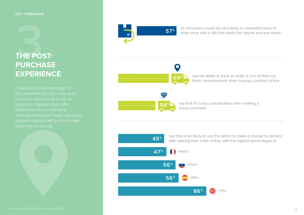# **3**<br>THE PO:<br>PURCH **THE POST-PURCHASE EXPERIENCE**

eCommerce brands.



of consumers would be very likely or somewhat likely to shop more with a site that made the returns process easier

### $\bullet$ **69%**



say the ability to track an order is one of their top three considerations when buying a product online

say that it's a top consideration when making a luxury purchase

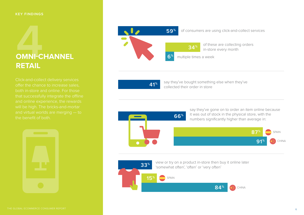# **OMNI-CHANNEL RETAIL 444**<br> **6441**<br> **64411**<br> **64411**

both in-store and online. For those and online experience, the rewards the benefit of both.





**41%**

say they've bought something else when they've collected their order in store



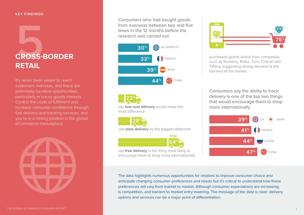#### **KEY FINDINGS**

# **CROSS-BORDER RETAIL 1999**<br>CROSS-I<br>RETAIL

It's never been easier to reach customers overseas, and there are potentially lucrative opportunities, particularly in luxury goods markets. Control the costs of fulfilment and increase consumer confidence through fast delivery and tracking services, and you're in a strong position in the global eCommerce marketplace.

THE GLOBAL ECOMMERCE CONSUMER REPORT

Consumers who had bought goods from overseas between two and five times in the 12 months before the research was carried out



say **low-cost delivery** would make the most difference **22%**

**28%**

cite **slow delivery** as the biggest deterrent



say **free delivery** is the thing most likely to encourage them to shop more internationally



purchased goods online from companies such as Burberry, Rolex, Tumi, Chanel and Tiffany, suggesting strong demand at the top-end of the market.

Consumers say the ability to track delivery is one of the top two things that would encourage them to shop more internationally



The data highlights numerous opportunities for retailers to improve consumer choice and anticipate changing consumer preferences and needs but it's critical to understand how these preferences will vary from market to market. Although consumer expectations are increasing, is competition, and barriers to market entry lowering. The message of the data is clear: delivery options and services can be a major point of differentiation.